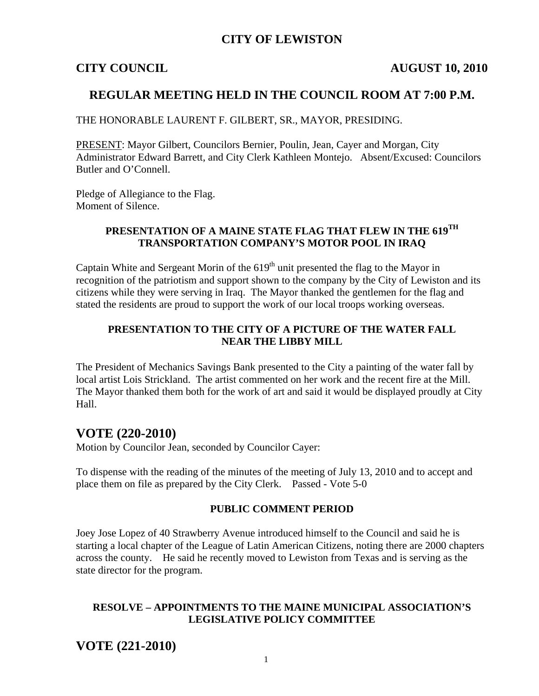## **CITY OF LEWISTON**

#### **CITY COUNCIL AUGUST 10, 2010**

## **REGULAR MEETING HELD IN THE COUNCIL ROOM AT 7:00 P.M.**

THE HONORABLE LAURENT F. GILBERT, SR., MAYOR, PRESIDING.

PRESENT: Mayor Gilbert, Councilors Bernier, Poulin, Jean, Cayer and Morgan, City Administrator Edward Barrett, and City Clerk Kathleen Montejo. Absent/Excused: Councilors Butler and O'Connell.

Pledge of Allegiance to the Flag. Moment of Silence.

## **PRESENTATION OF A MAINE STATE FLAG THAT FLEW IN THE 619TH TRANSPORTATION COMPANY'S MOTOR POOL IN IRAQ**

Captain White and Sergeant Morin of the  $619<sup>th</sup>$  unit presented the flag to the Mayor in recognition of the patriotism and support shown to the company by the City of Lewiston and its citizens while they were serving in Iraq. The Mayor thanked the gentlemen for the flag and stated the residents are proud to support the work of our local troops working overseas.

## **PRESENTATION TO THE CITY OF A PICTURE OF THE WATER FALL NEAR THE LIBBY MILL**

The President of Mechanics Savings Bank presented to the City a painting of the water fall by local artist Lois Strickland. The artist commented on her work and the recent fire at the Mill. The Mayor thanked them both for the work of art and said it would be displayed proudly at City Hall.

## **VOTE (220-2010)**

Motion by Councilor Jean, seconded by Councilor Cayer:

To dispense with the reading of the minutes of the meeting of July 13, 2010 and to accept and place them on file as prepared by the City Clerk. Passed - Vote 5-0

#### **PUBLIC COMMENT PERIOD**

Joey Jose Lopez of 40 Strawberry Avenue introduced himself to the Council and said he is starting a local chapter of the League of Latin American Citizens, noting there are 2000 chapters across the county. He said he recently moved to Lewiston from Texas and is serving as the state director for the program.

#### **RESOLVE – APPOINTMENTS TO THE MAINE MUNICIPAL ASSOCIATION'S LEGISLATIVE POLICY COMMITTEE**

**VOTE (221-2010)**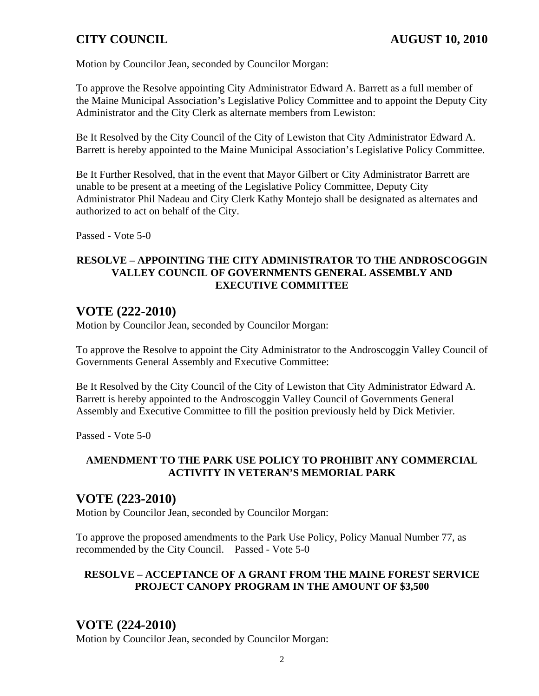Motion by Councilor Jean, seconded by Councilor Morgan:

To approve the Resolve appointing City Administrator Edward A. Barrett as a full member of the Maine Municipal Association's Legislative Policy Committee and to appoint the Deputy City Administrator and the City Clerk as alternate members from Lewiston:

Be It Resolved by the City Council of the City of Lewiston that City Administrator Edward A. Barrett is hereby appointed to the Maine Municipal Association's Legislative Policy Committee.

Be It Further Resolved, that in the event that Mayor Gilbert or City Administrator Barrett are unable to be present at a meeting of the Legislative Policy Committee, Deputy City Administrator Phil Nadeau and City Clerk Kathy Montejo shall be designated as alternates and authorized to act on behalf of the City.

Passed - Vote 5-0

### **RESOLVE – APPOINTING THE CITY ADMINISTRATOR TO THE ANDROSCOGGIN VALLEY COUNCIL OF GOVERNMENTS GENERAL ASSEMBLY AND EXECUTIVE COMMITTEE**

# **VOTE (222-2010)**

Motion by Councilor Jean, seconded by Councilor Morgan:

To approve the Resolve to appoint the City Administrator to the Androscoggin Valley Council of Governments General Assembly and Executive Committee:

Be It Resolved by the City Council of the City of Lewiston that City Administrator Edward A. Barrett is hereby appointed to the Androscoggin Valley Council of Governments General Assembly and Executive Committee to fill the position previously held by Dick Metivier.

Passed - Vote 5-0

## **AMENDMENT TO THE PARK USE POLICY TO PROHIBIT ANY COMMERCIAL ACTIVITY IN VETERAN'S MEMORIAL PARK**

# **VOTE (223-2010)**

Motion by Councilor Jean, seconded by Councilor Morgan:

To approve the proposed amendments to the Park Use Policy, Policy Manual Number 77, as recommended by the City Council. Passed - Vote 5-0

### **RESOLVE – ACCEPTANCE OF A GRANT FROM THE MAINE FOREST SERVICE PROJECT CANOPY PROGRAM IN THE AMOUNT OF \$3,500**

# **VOTE (224-2010)**

Motion by Councilor Jean, seconded by Councilor Morgan: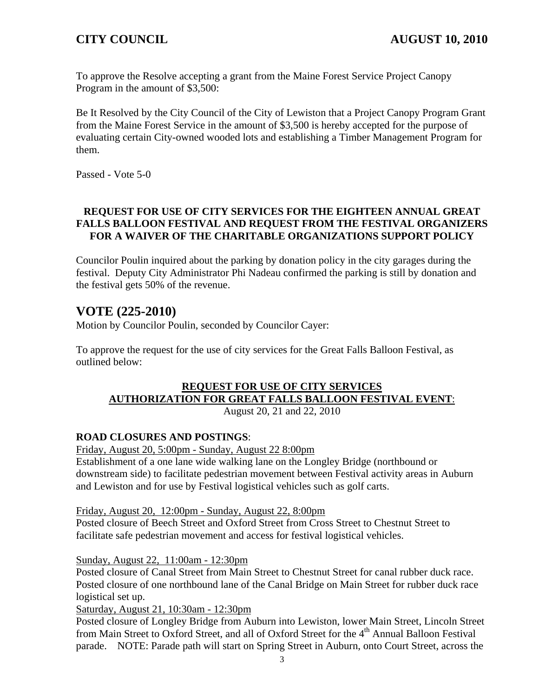To approve the Resolve accepting a grant from the Maine Forest Service Project Canopy Program in the amount of \$3,500:

Be It Resolved by the City Council of the City of Lewiston that a Project Canopy Program Grant from the Maine Forest Service in the amount of \$3,500 is hereby accepted for the purpose of evaluating certain City-owned wooded lots and establishing a Timber Management Program for them.

Passed - Vote 5-0

## **REQUEST FOR USE OF CITY SERVICES FOR THE EIGHTEEN ANNUAL GREAT FALLS BALLOON FESTIVAL AND REQUEST FROM THE FESTIVAL ORGANIZERS FOR A WAIVER OF THE CHARITABLE ORGANIZATIONS SUPPORT POLICY**

Councilor Poulin inquired about the parking by donation policy in the city garages during the festival. Deputy City Administrator Phi Nadeau confirmed the parking is still by donation and the festival gets 50% of the revenue.

# **VOTE (225-2010)**

Motion by Councilor Poulin, seconded by Councilor Cayer:

To approve the request for the use of city services for the Great Falls Balloon Festival, as outlined below:

## **REQUEST FOR USE OF CITY SERVICES AUTHORIZATION FOR GREAT FALLS BALLOON FESTIVAL EVENT**:

August 20, 21 and 22, 2010

## **ROAD CLOSURES AND POSTINGS**:

Friday, August 20, 5:00pm - Sunday, August 22 8:00pm

Establishment of a one lane wide walking lane on the Longley Bridge (northbound or downstream side) to facilitate pedestrian movement between Festival activity areas in Auburn and Lewiston and for use by Festival logistical vehicles such as golf carts.

Friday, August 20, 12:00pm - Sunday, August 22, 8:00pm

Posted closure of Beech Street and Oxford Street from Cross Street to Chestnut Street to facilitate safe pedestrian movement and access for festival logistical vehicles.

### Sunday, August 22, 11:00am - 12:30pm

Posted closure of Canal Street from Main Street to Chestnut Street for canal rubber duck race. Posted closure of one northbound lane of the Canal Bridge on Main Street for rubber duck race logistical set up.

Saturday, August 21, 10:30am - 12:30pm

Posted closure of Longley Bridge from Auburn into Lewiston, lower Main Street, Lincoln Street from Main Street to Oxford Street, and all of Oxford Street for the 4<sup>th</sup> Annual Balloon Festival parade. NOTE: Parade path will start on Spring Street in Auburn, onto Court Street, across the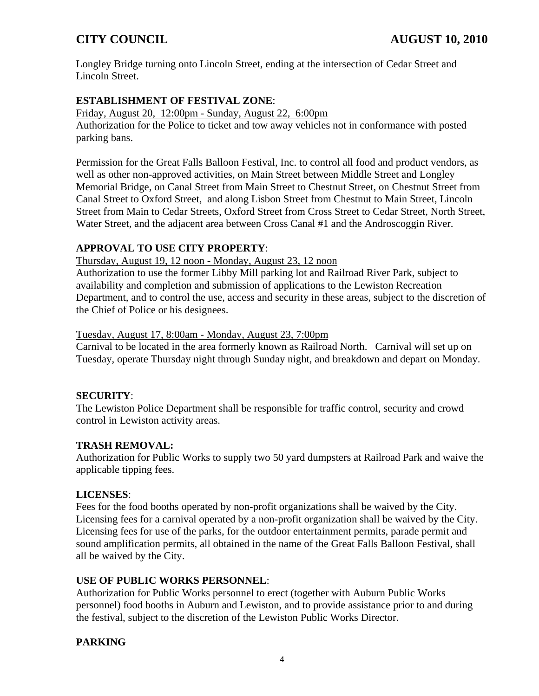Longley Bridge turning onto Lincoln Street, ending at the intersection of Cedar Street and Lincoln Street.

## **ESTABLISHMENT OF FESTIVAL ZONE**:

Friday, August 20, 12:00pm - Sunday, August 22, 6:00pm

Authorization for the Police to ticket and tow away vehicles not in conformance with posted parking bans.

Permission for the Great Falls Balloon Festival, Inc. to control all food and product vendors, as well as other non-approved activities, on Main Street between Middle Street and Longley Memorial Bridge, on Canal Street from Main Street to Chestnut Street, on Chestnut Street from Canal Street to Oxford Street, and along Lisbon Street from Chestnut to Main Street, Lincoln Street from Main to Cedar Streets, Oxford Street from Cross Street to Cedar Street, North Street, Water Street, and the adjacent area between Cross Canal #1 and the Androscoggin River.

## **APPROVAL TO USE CITY PROPERTY**:

Thursday, August 19, 12 noon - Monday, August 23, 12 noon

Authorization to use the former Libby Mill parking lot and Railroad River Park, subject to availability and completion and submission of applications to the Lewiston Recreation Department, and to control the use, access and security in these areas, subject to the discretion of the Chief of Police or his designees.

## Tuesday, August 17, 8:00am - Monday, August 23, 7:00pm

Carnival to be located in the area formerly known as Railroad North. Carnival will set up on Tuesday, operate Thursday night through Sunday night, and breakdown and depart on Monday.

## **SECURITY**:

The Lewiston Police Department shall be responsible for traffic control, security and crowd control in Lewiston activity areas.

## **TRASH REMOVAL:**

Authorization for Public Works to supply two 50 yard dumpsters at Railroad Park and waive the applicable tipping fees.

## **LICENSES**:

Fees for the food booths operated by non-profit organizations shall be waived by the City. Licensing fees for a carnival operated by a non-profit organization shall be waived by the City. Licensing fees for use of the parks, for the outdoor entertainment permits, parade permit and sound amplification permits, all obtained in the name of the Great Falls Balloon Festival, shall all be waived by the City.

## **USE OF PUBLIC WORKS PERSONNEL**:

Authorization for Public Works personnel to erect (together with Auburn Public Works personnel) food booths in Auburn and Lewiston, and to provide assistance prior to and during the festival, subject to the discretion of the Lewiston Public Works Director.

## **PARKING**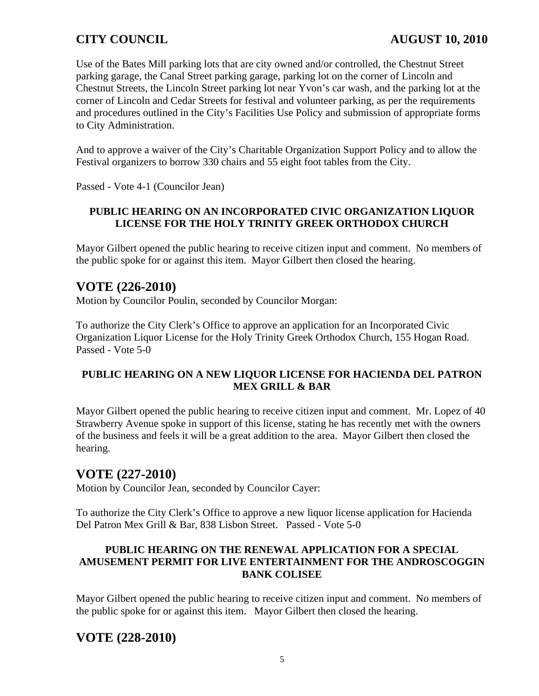Use of the Bates Mill parking lots that are city owned and/or controlled, the Chestnut Street parking garage, the Canal Street parking garage, parking lot on the corner of Lincoln and Chestnut Streets, the Lincoln Street parking lot near Yvon's car wash, and the parking lot at the corner of Lincoln and Cedar Streets for festival and volunteer parking, as per the requirements and procedures outlined in the City's Facilities Use Policy and submission of appropriate forms to City Administration.

And to approve a waiver of the City's Charitable Organization Support Policy and to allow the Festival organizers to borrow 330 chairs and 55 eight foot tables from the City.

Passed - Vote 4-1 (Councilor Jean)

## **PUBLIC HEARING ON AN INCORPORATED CIVIC ORGANIZATION LIQUOR LICENSE FOR THE HOLY TRINITY GREEK ORTHODOX CHURCH**

Mayor Gilbert opened the public hearing to receive citizen input and comment. No members of the public spoke for or against this item. Mayor Gilbert then closed the hearing.

## **VOTE (226-2010)**

Motion by Councilor Poulin, seconded by Councilor Morgan:

To authorize the City Clerk's Office to approve an application for an Incorporated Civic Organization Liquor License for the Holy Trinity Greek Orthodox Church, 155 Hogan Road. Passed - Vote 5-0

## **PUBLIC HEARING ON A NEW LIQUOR LICENSE FOR HACIENDA DEL PATRON MEX GRILL & BAR**

Mayor Gilbert opened the public hearing to receive citizen input and comment. Mr. Lopez of 40 Strawberry Avenue spoke in support of this license, stating he has recently met with the owners of the business and feels it will be a great addition to the area. Mayor Gilbert then closed the hearing.

# **VOTE (227-2010)**

Motion by Councilor Jean, seconded by Councilor Cayer:

To authorize the City Clerk's Office to approve a new liquor license application for Hacienda Del Patron Mex Grill & Bar, 838 Lisbon Street. Passed - Vote 5-0

## **PUBLIC HEARING ON THE RENEWAL APPLICATION FOR A SPECIAL AMUSEMENT PERMIT FOR LIVE ENTERTAINMENT FOR THE ANDROSCOGGIN BANK COLISEE**

Mayor Gilbert opened the public hearing to receive citizen input and comment. No members of the public spoke for or against this item. Mayor Gilbert then closed the hearing.

# **VOTE (228-2010)**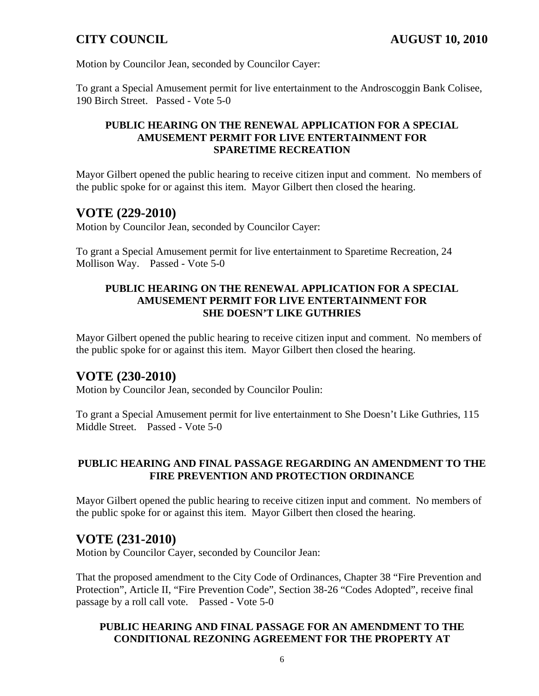Motion by Councilor Jean, seconded by Councilor Cayer:

To grant a Special Amusement permit for live entertainment to the Androscoggin Bank Colisee, 190 Birch Street. Passed - Vote 5-0

#### **PUBLIC HEARING ON THE RENEWAL APPLICATION FOR A SPECIAL AMUSEMENT PERMIT FOR LIVE ENTERTAINMENT FOR SPARETIME RECREATION**

Mayor Gilbert opened the public hearing to receive citizen input and comment. No members of the public spoke for or against this item. Mayor Gilbert then closed the hearing.

## **VOTE (229-2010)**

Motion by Councilor Jean, seconded by Councilor Cayer:

To grant a Special Amusement permit for live entertainment to Sparetime Recreation, 24 Mollison Way. Passed - Vote 5-0

#### **PUBLIC HEARING ON THE RENEWAL APPLICATION FOR A SPECIAL AMUSEMENT PERMIT FOR LIVE ENTERTAINMENT FOR SHE DOESN'T LIKE GUTHRIES**

Mayor Gilbert opened the public hearing to receive citizen input and comment. No members of the public spoke for or against this item. Mayor Gilbert then closed the hearing.

# **VOTE (230-2010)**

Motion by Councilor Jean, seconded by Councilor Poulin:

To grant a Special Amusement permit for live entertainment to She Doesn't Like Guthries, 115 Middle Street. Passed - Vote 5-0

### **PUBLIC HEARING AND FINAL PASSAGE REGARDING AN AMENDMENT TO THE FIRE PREVENTION AND PROTECTION ORDINANCE**

Mayor Gilbert opened the public hearing to receive citizen input and comment. No members of the public spoke for or against this item. Mayor Gilbert then closed the hearing.

## **VOTE (231-2010)**

Motion by Councilor Cayer, seconded by Councilor Jean:

That the proposed amendment to the City Code of Ordinances, Chapter 38 "Fire Prevention and Protection", Article II, "Fire Prevention Code", Section 38-26 "Codes Adopted", receive final passage by a roll call vote. Passed - Vote 5-0

## **PUBLIC HEARING AND FINAL PASSAGE FOR AN AMENDMENT TO THE CONDITIONAL REZONING AGREEMENT FOR THE PROPERTY AT**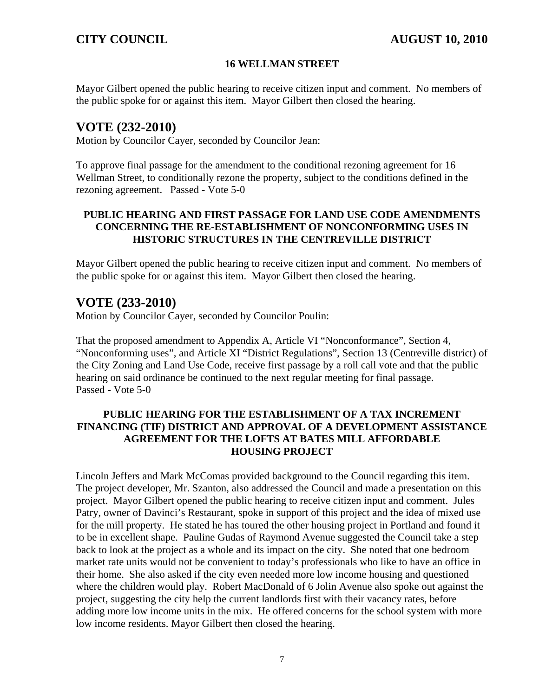### **16 WELLMAN STREET**

Mayor Gilbert opened the public hearing to receive citizen input and comment. No members of the public spoke for or against this item. Mayor Gilbert then closed the hearing.

## **VOTE (232-2010)**

Motion by Councilor Cayer, seconded by Councilor Jean:

To approve final passage for the amendment to the conditional rezoning agreement for 16 Wellman Street, to conditionally rezone the property, subject to the conditions defined in the rezoning agreement. Passed - Vote 5-0

### **PUBLIC HEARING AND FIRST PASSAGE FOR LAND USE CODE AMENDMENTS CONCERNING THE RE-ESTABLISHMENT OF NONCONFORMING USES IN HISTORIC STRUCTURES IN THE CENTREVILLE DISTRICT**

Mayor Gilbert opened the public hearing to receive citizen input and comment. No members of the public spoke for or against this item. Mayor Gilbert then closed the hearing.

## **VOTE (233-2010)**

Motion by Councilor Cayer, seconded by Councilor Poulin:

That the proposed amendment to Appendix A, Article VI "Nonconformance", Section 4, "Nonconforming uses", and Article XI "District Regulations", Section 13 (Centreville district) of the City Zoning and Land Use Code, receive first passage by a roll call vote and that the public hearing on said ordinance be continued to the next regular meeting for final passage. Passed - Vote 5-0

### **PUBLIC HEARING FOR THE ESTABLISHMENT OF A TAX INCREMENT FINANCING (TIF) DISTRICT AND APPROVAL OF A DEVELOPMENT ASSISTANCE AGREEMENT FOR THE LOFTS AT BATES MILL AFFORDABLE HOUSING PROJECT**

Lincoln Jeffers and Mark McComas provided background to the Council regarding this item. The project developer, Mr. Szanton, also addressed the Council and made a presentation on this project. Mayor Gilbert opened the public hearing to receive citizen input and comment. Jules Patry, owner of Davinci's Restaurant, spoke in support of this project and the idea of mixed use for the mill property. He stated he has toured the other housing project in Portland and found it to be in excellent shape. Pauline Gudas of Raymond Avenue suggested the Council take a step back to look at the project as a whole and its impact on the city. She noted that one bedroom market rate units would not be convenient to today's professionals who like to have an office in their home. She also asked if the city even needed more low income housing and questioned where the children would play. Robert MacDonald of 6 Jolin Avenue also spoke out against the project, suggesting the city help the current landlords first with their vacancy rates, before adding more low income units in the mix. He offered concerns for the school system with more low income residents. Mayor Gilbert then closed the hearing.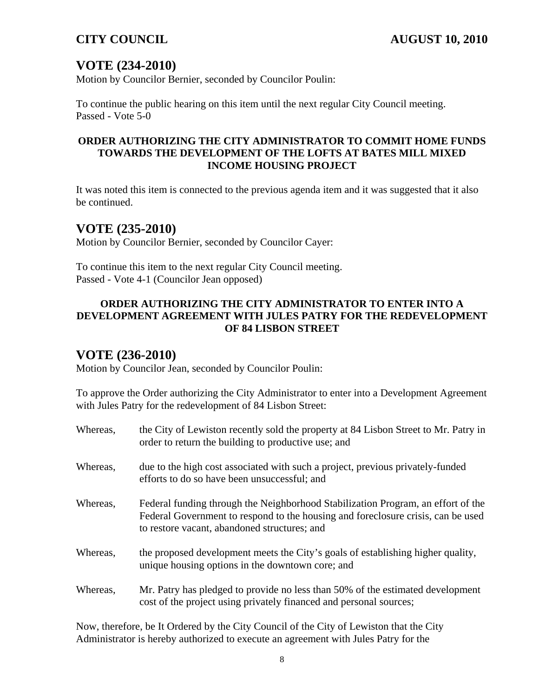# **VOTE (234-2010)**

Motion by Councilor Bernier, seconded by Councilor Poulin:

To continue the public hearing on this item until the next regular City Council meeting. Passed - Vote 5-0

### **ORDER AUTHORIZING THE CITY ADMINISTRATOR TO COMMIT HOME FUNDS TOWARDS THE DEVELOPMENT OF THE LOFTS AT BATES MILL MIXED INCOME HOUSING PROJECT**

It was noted this item is connected to the previous agenda item and it was suggested that it also be continued.

## **VOTE (235-2010)**

Motion by Councilor Bernier, seconded by Councilor Cayer:

To continue this item to the next regular City Council meeting. Passed - Vote 4-1 (Councilor Jean opposed)

## **ORDER AUTHORIZING THE CITY ADMINISTRATOR TO ENTER INTO A DEVELOPMENT AGREEMENT WITH JULES PATRY FOR THE REDEVELOPMENT OF 84 LISBON STREET**

# **VOTE (236-2010)**

Motion by Councilor Jean, seconded by Councilor Poulin:

To approve the Order authorizing the City Administrator to enter into a Development Agreement with Jules Patry for the redevelopment of 84 Lisbon Street:

| Whereas, | the City of Lewiston recently sold the property at 84 Lisbon Street to Mr. Patry in<br>order to return the building to productive use; and                                                                           |
|----------|----------------------------------------------------------------------------------------------------------------------------------------------------------------------------------------------------------------------|
| Whereas, | due to the high cost associated with such a project, previous privately-funded<br>efforts to do so have been unsuccessful; and                                                                                       |
| Whereas, | Federal funding through the Neighborhood Stabilization Program, an effort of the<br>Federal Government to respond to the housing and foreclosure crisis, can be used<br>to restore vacant, abandoned structures; and |
| Whereas, | the proposed development meets the City's goals of establishing higher quality,<br>unique housing options in the downtown core; and                                                                                  |
| Whereas, | Mr. Patry has pledged to provide no less than 50% of the estimated development<br>cost of the project using privately financed and personal sources;                                                                 |

Now, therefore, be It Ordered by the City Council of the City of Lewiston that the City Administrator is hereby authorized to execute an agreement with Jules Patry for the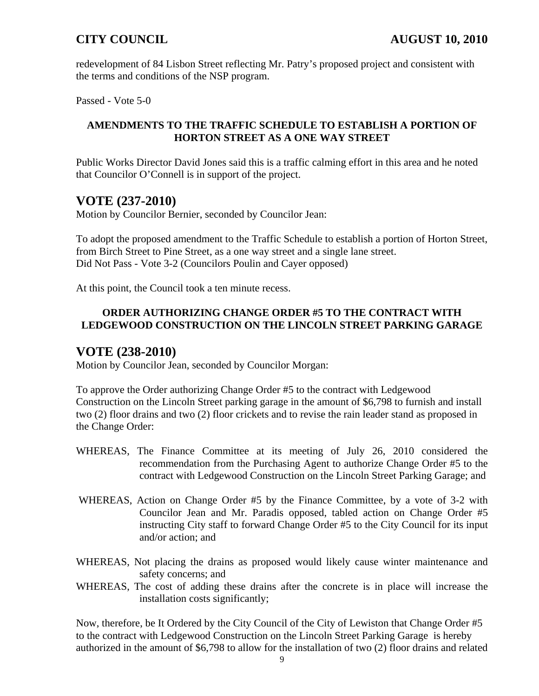redevelopment of 84 Lisbon Street reflecting Mr. Patry's proposed project and consistent with the terms and conditions of the NSP program.

Passed - Vote 5-0

## **AMENDMENTS TO THE TRAFFIC SCHEDULE TO ESTABLISH A PORTION OF HORTON STREET AS A ONE WAY STREET**

Public Works Director David Jones said this is a traffic calming effort in this area and he noted that Councilor O'Connell is in support of the project.

# **VOTE (237-2010)**

Motion by Councilor Bernier, seconded by Councilor Jean:

To adopt the proposed amendment to the Traffic Schedule to establish a portion of Horton Street, from Birch Street to Pine Street, as a one way street and a single lane street. Did Not Pass - Vote 3-2 (Councilors Poulin and Cayer opposed)

At this point, the Council took a ten minute recess.

## **ORDER AUTHORIZING CHANGE ORDER #5 TO THE CONTRACT WITH LEDGEWOOD CONSTRUCTION ON THE LINCOLN STREET PARKING GARAGE**

# **VOTE (238-2010)**

Motion by Councilor Jean, seconded by Councilor Morgan:

To approve the Order authorizing Change Order #5 to the contract with Ledgewood Construction on the Lincoln Street parking garage in the amount of \$6,798 to furnish and install two (2) floor drains and two (2) floor crickets and to revise the rain leader stand as proposed in the Change Order:

- WHEREAS, The Finance Committee at its meeting of July 26, 2010 considered the recommendation from the Purchasing Agent to authorize Change Order #5 to the contract with Ledgewood Construction on the Lincoln Street Parking Garage; and
- WHEREAS, Action on Change Order #5 by the Finance Committee, by a vote of 3-2 with Councilor Jean and Mr. Paradis opposed, tabled action on Change Order #5 instructing City staff to forward Change Order #5 to the City Council for its input and/or action; and
- WHEREAS, Not placing the drains as proposed would likely cause winter maintenance and safety concerns; and
- WHEREAS, The cost of adding these drains after the concrete is in place will increase the installation costs significantly;

Now, therefore, be It Ordered by the City Council of the City of Lewiston that Change Order #5 to the contract with Ledgewood Construction on the Lincoln Street Parking Garage is hereby authorized in the amount of \$6,798 to allow for the installation of two (2) floor drains and related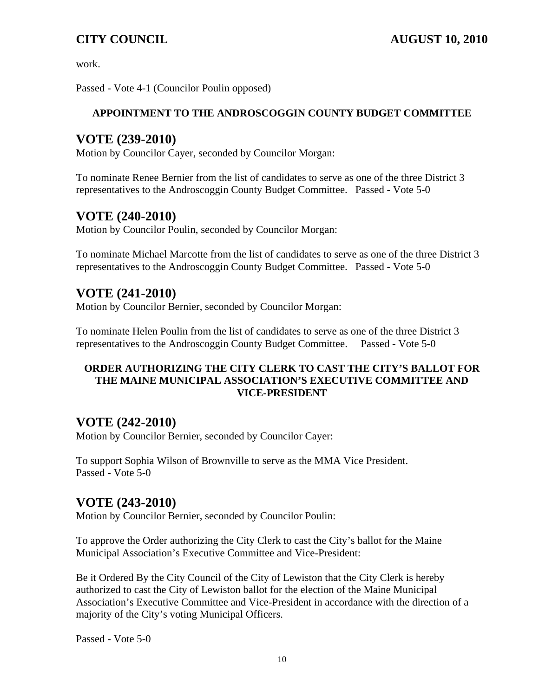work.

Passed - Vote 4-1 (Councilor Poulin opposed)

## **APPOINTMENT TO THE ANDROSCOGGIN COUNTY BUDGET COMMITTEE**

# **VOTE (239-2010)**

Motion by Councilor Cayer, seconded by Councilor Morgan:

To nominate Renee Bernier from the list of candidates to serve as one of the three District 3 representatives to the Androscoggin County Budget Committee. Passed - Vote 5-0

# **VOTE (240-2010)**

Motion by Councilor Poulin, seconded by Councilor Morgan:

To nominate Michael Marcotte from the list of candidates to serve as one of the three District 3 representatives to the Androscoggin County Budget Committee. Passed - Vote 5-0

# **VOTE (241-2010)**

Motion by Councilor Bernier, seconded by Councilor Morgan:

To nominate Helen Poulin from the list of candidates to serve as one of the three District 3 representatives to the Androscoggin County Budget Committee. Passed - Vote 5-0

## **ORDER AUTHORIZING THE CITY CLERK TO CAST THE CITY'S BALLOT FOR THE MAINE MUNICIPAL ASSOCIATION'S EXECUTIVE COMMITTEE AND VICE-PRESIDENT**

# **VOTE (242-2010)**

Motion by Councilor Bernier, seconded by Councilor Cayer:

To support Sophia Wilson of Brownville to serve as the MMA Vice President. Passed - Vote 5-0

# **VOTE (243-2010)**

Motion by Councilor Bernier, seconded by Councilor Poulin:

To approve the Order authorizing the City Clerk to cast the City's ballot for the Maine Municipal Association's Executive Committee and Vice-President:

Be it Ordered By the City Council of the City of Lewiston that the City Clerk is hereby authorized to cast the City of Lewiston ballot for the election of the Maine Municipal Association's Executive Committee and Vice-President in accordance with the direction of a majority of the City's voting Municipal Officers.

Passed - Vote 5-0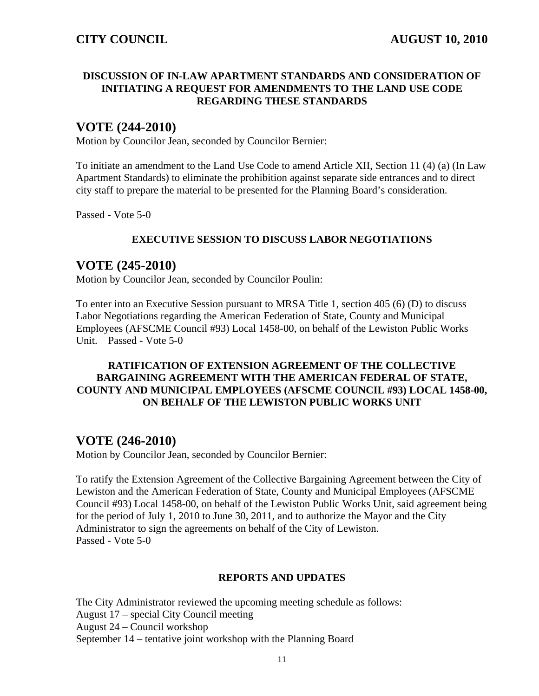#### **DISCUSSION OF IN-LAW APARTMENT STANDARDS AND CONSIDERATION OF INITIATING A REQUEST FOR AMENDMENTS TO THE LAND USE CODE REGARDING THESE STANDARDS**

# **VOTE (244-2010)**

Motion by Councilor Jean, seconded by Councilor Bernier:

To initiate an amendment to the Land Use Code to amend Article XII, Section 11 (4) (a) (In Law Apartment Standards) to eliminate the prohibition against separate side entrances and to direct city staff to prepare the material to be presented for the Planning Board's consideration.

Passed - Vote 5-0

## **EXECUTIVE SESSION TO DISCUSS LABOR NEGOTIATIONS**

## **VOTE (245-2010)**

Motion by Councilor Jean, seconded by Councilor Poulin:

To enter into an Executive Session pursuant to MRSA Title 1, section 405 (6) (D) to discuss Labor Negotiations regarding the American Federation of State, County and Municipal Employees (AFSCME Council #93) Local 1458-00, on behalf of the Lewiston Public Works Unit. Passed - Vote 5-0

## **RATIFICATION OF EXTENSION AGREEMENT OF THE COLLECTIVE BARGAINING AGREEMENT WITH THE AMERICAN FEDERAL OF STATE, COUNTY AND MUNICIPAL EMPLOYEES (AFSCME COUNCIL #93) LOCAL 1458-00, ON BEHALF OF THE LEWISTON PUBLIC WORKS UNIT**

# **VOTE (246-2010)**

Motion by Councilor Jean, seconded by Councilor Bernier:

To ratify the Extension Agreement of the Collective Bargaining Agreement between the City of Lewiston and the American Federation of State, County and Municipal Employees (AFSCME Council #93) Local 1458-00, on behalf of the Lewiston Public Works Unit, said agreement being for the period of July 1, 2010 to June 30, 2011, and to authorize the Mayor and the City Administrator to sign the agreements on behalf of the City of Lewiston. Passed - Vote 5-0

### **REPORTS AND UPDATES**

The City Administrator reviewed the upcoming meeting schedule as follows: August 17 – special City Council meeting August 24 – Council workshop September 14 – tentative joint workshop with the Planning Board